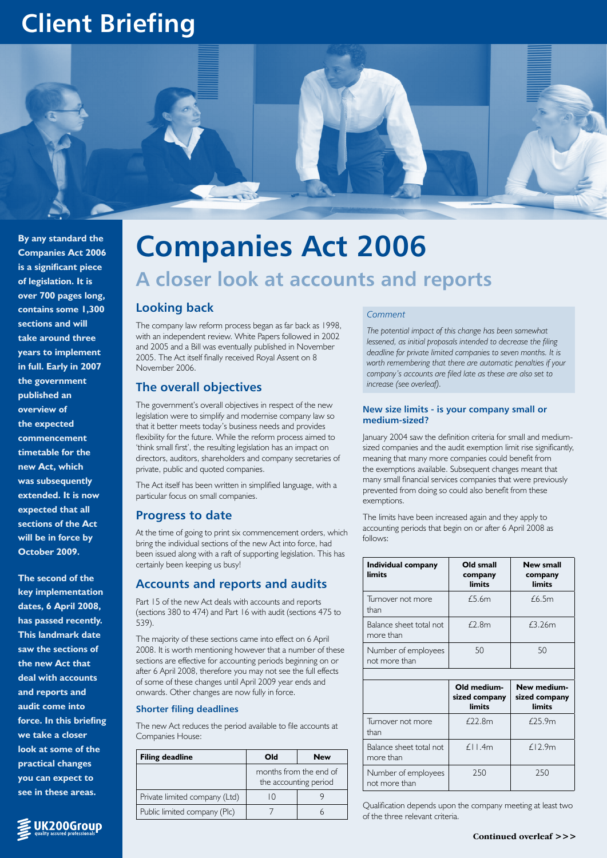## **Client Briefing**



**By any standard the Companies Act 2006 is a significant piece of legislation. It is over 700 pages long, contains some 1,300 sections and will take around three years to implement in full. Early in 2007 the government published an overview of the expected commencement timetable for the new Act, which was subsequently extended. It is now expected that all sections of the Act will be in force by October 2009.** 

**The second of the key implementation dates, 6 April 2008, has passed recently. This landmark date saw the sections of the new Act that deal with accounts and reports and audit come into force. In this briefing we take a closer look at some of the practical changes you can expect to see in these areas.**

UK200Group

# **Companies Act 2006 A closer look at accounts and reports**

## **Looking back**

The company law reform process began as far back as 1998, with an independent review. White Papers followed in 2002 and 2005 and a Bill was eventually published in November 2005. The Act itself finally received Royal Assent on 8 November 2006.

## **The overall objectives**

The government's overall objectives in respect of the new legislation were to simplify and modernise company law so that it better meets today's business needs and provides flexibility for the future. While the reform process aimed to 'think small first', the resulting legislation has an impact on directors, auditors, shareholders and company secretaries of private, public and quoted companies.

The Act itself has been written in simplified language, with a particular focus on small companies.

## **Progress to date**

At the time of going to print six commencement orders, which bring the individual sections of the new Act into force, had been issued along with a raft of supporting legislation. This has certainly been keeping us busy!

## **Accounts and reports and audits**

Part 15 of the new Act deals with accounts and reports (sections 380 to 474) and Part 16 with audit (sections 475 to 539).

The majority of these sections came into effect on 6 April 2008. It is worth mentioning however that a number of these sections are effective for accounting periods beginning on or after 6 April 2008, therefore you may not see the full effects of some of these changes until April 2009 year ends and onwards. Other changes are now fully in force.

## **Shorter filing deadlines**

The new Act reduces the period available to file accounts at Companies House:

| <b>Filing deadline</b>        | Old                                             | <b>New</b> |  |
|-------------------------------|-------------------------------------------------|------------|--|
|                               | months from the end of<br>the accounting period |            |  |
| Private limited company (Ltd) |                                                 |            |  |
| Public limited company (Plc)  |                                                 |            |  |

#### *Comment*

*The potential impact of this change has been somewhat lessened, as initial proposals intended to decrease the filing deadline for private limited companies to seven months. It is worth remembering that there are automatic penalties if your company's accounts are filed late as these are also set to increase (see overleaf).*

#### **New size limits - is your company small or medium-sized?**

January 2004 saw the definition criteria for small and mediumsized companies and the audit exemption limit rise significantly, meaning that many more companies could benefit from the exemptions available. Subsequent changes meant that many small financial services companies that were previously prevented from doing so could also benefit from these exemptions.

The limits have been increased again and they apply to accounting periods that begin on or after 6 April 2008 as follows:

| Individual company<br>limits         | Old small<br>company<br>limits         | <b>New small</b><br>company<br>limits  |  |  |  |
|--------------------------------------|----------------------------------------|----------------------------------------|--|--|--|
| Turnover not more<br>than            | £5.6m                                  | £6.5m                                  |  |  |  |
| Balance sheet total not<br>more than | £2.8m<br>£3.26m                        |                                        |  |  |  |
| Number of employees<br>not more than | 50                                     | 50                                     |  |  |  |
|                                      |                                        |                                        |  |  |  |
|                                      | Old medium-<br>sized company<br>limits | New medium-<br>sized company<br>limits |  |  |  |
| Turnover not more<br>than            | £22.8m                                 | £25.9m                                 |  |  |  |
| Balance sheet total not<br>more than | $f_{\perp}$   1.4m                     | f.12.9m                                |  |  |  |
| Number of employees<br>not more than | 250                                    | 250                                    |  |  |  |

Qualification depends upon the company meeting at least two of the three relevant criteria.